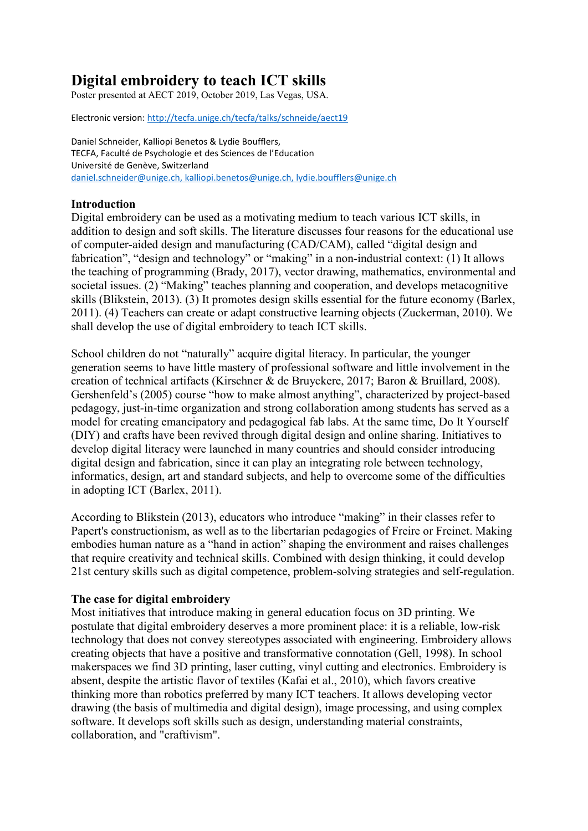# **Digital embroidery to teach ICT skills**

Poster presented at AECT 2019, October 2019, Las Vegas, USA.

Electronic version:<http://tecfa.unige.ch/tecfa/talks/schneide/aect19>

Daniel Schneider, Kalliopi Benetos & Lydie Boufflers, TECFA, Faculté de Psychologie et des Sciences de l'Education Université de Genève, Switzerland [daniel.schneider@unige.ch,](mailto:daniel.schneider@unige.ch) [kalliopi.benetos@unige.ch,](mailto:kalliopi.benetos@unige.ch) lydie.boufflers@unige.ch

# **Introduction**

Digital embroidery can be used as a motivating medium to teach various ICT skills, in addition to design and soft skills. The literature discusses four reasons for the educational use of computer-aided design and manufacturing (CAD/CAM), called "digital design and fabrication", "design and technology" or "making" in a non-industrial context: (1) It allows the teaching of programming (Brady, 2017), vector drawing, mathematics, environmental and societal issues. (2) "Making" teaches planning and cooperation, and develops metacognitive skills (Blikstein, 2013). (3) It promotes design skills essential for the future economy (Barlex, 2011). (4) Teachers can create or adapt constructive learning objects (Zuckerman, 2010). We shall develop the use of digital embroidery to teach ICT skills.

School children do not "naturally" acquire digital literacy. In particular, the younger generation seems to have little mastery of professional software and little involvement in the creation of technical artifacts (Kirschner & de Bruyckere, 2017; Baron & Bruillard, 2008). Gershenfeld's (2005) course "how to make almost anything", characterized by project-based pedagogy, just-in-time organization and strong collaboration among students has served as a model for creating emancipatory and pedagogical fab labs. At the same time, Do It Yourself (DIY) and crafts have been revived through digital design and online sharing. Initiatives to develop digital literacy were launched in many countries and should consider introducing digital design and fabrication, since it can play an integrating role between technology, informatics, design, art and standard subjects, and help to overcome some of the difficulties in adopting ICT (Barlex, 2011).

According to Blikstein (2013), educators who introduce "making" in their classes refer to Papert's constructionism, as well as to the libertarian pedagogies of Freire or Freinet. Making embodies human nature as a "hand in action" shaping the environment and raises challenges that require creativity and technical skills. Combined with design thinking, it could develop 21st century skills such as digital competence, problem-solving strategies and self-regulation.

### **The case for digital embroidery**

Most initiatives that introduce making in general education focus on 3D printing. We postulate that digital embroidery deserves a more prominent place: it is a reliable, low-risk technology that does not convey stereotypes associated with engineering. Embroidery allows creating objects that have a positive and transformative connotation (Gell, 1998). In school makerspaces we find 3D printing, laser cutting, vinyl cutting and electronics. Embroidery is absent, despite the artistic flavor of textiles (Kafai et al., 2010), which favors creative thinking more than robotics preferred by many ICT teachers. It allows developing vector drawing (the basis of multimedia and digital design), image processing, and using complex software. It develops soft skills such as design, understanding material constraints, collaboration, and "craftivism".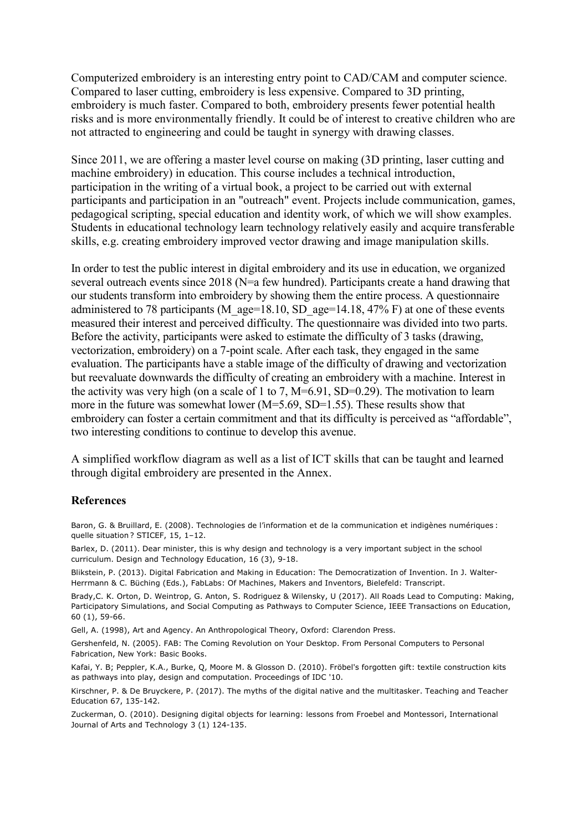Computerized embroidery is an interesting entry point to CAD/CAM and computer science. Compared to laser cutting, embroidery is less expensive. Compared to 3D printing, embroidery is much faster. Compared to both, embroidery presents fewer potential health risks and is more environmentally friendly. It could be of interest to creative children who are not attracted to engineering and could be taught in synergy with drawing classes.

Since 2011, we are offering a master level course on making (3D printing, laser cutting and machine embroidery) in education. This course includes a technical introduction, participation in the writing of a virtual book, a project to be carried out with external participants and participation in an "outreach" event. Projects include communication, games, pedagogical scripting, special education and identity work, of which we will show examples. Students in educational technology learn technology relatively easily and acquire transferable skills, e.g. creating embroidery improved vector drawing and image manipulation skills.

In order to test the public interest in digital embroidery and its use in education, we organized several outreach events since 2018 (N=a few hundred). Participants create a hand drawing that our students transform into embroidery by showing them the entire process. A questionnaire administered to 78 participants (M\_age=18.10, SD\_age=14.18, 47% F) at one of these events measured their interest and perceived difficulty. The questionnaire was divided into two parts. Before the activity, participants were asked to estimate the difficulty of 3 tasks (drawing, vectorization, embroidery) on a 7-point scale. After each task, they engaged in the same evaluation. The participants have a stable image of the difficulty of drawing and vectorization but reevaluate downwards the difficulty of creating an embroidery with a machine. Interest in the activity was very high (on a scale of 1 to 7,  $M=6.91$ ,  $SD=0.29$ ). The motivation to learn more in the future was somewhat lower (M=5.69, SD=1.55). These results show that embroidery can foster a certain commitment and that its difficulty is perceived as "affordable", two interesting conditions to continue to develop this avenue.

A simplified workflow diagram as well as a list of ICT skills that can be taught and learned through digital embroidery are presented in the Annex.

#### **References**

Baron, G. & Bruillard, E. (2008). Technologies de l'information et de la communication et indigènes numériques : quelle situation ? STICEF, 15, 1–12.

Barlex, D. (2011). Dear minister, this is why design and technology is a very important subject in the school curriculum. Design and Technology Education, 16 (3), 9-18.

Blikstein, P. (2013). Digital Fabrication and Making in Education: The Democratization of Invention. In J. Walter-Herrmann & C. Büching (Eds.), FabLabs: Of Machines, Makers and Inventors, Bielefeld: Transcript.

Brady,C. K. Orton, D. Weintrop, G. Anton, S. Rodriguez & Wilensky, U (2017). All Roads Lead to Computing: Making, Participatory Simulations, and Social Computing as Pathways to Computer Science, IEEE Transactions on Education, 60 (1), 59-66.

Gell, A. (1998), Art and Agency. An Anthropological Theory, Oxford: Clarendon Press.

Gershenfeld, N. (2005). FAB: The Coming Revolution on Your Desktop. From Personal Computers to Personal Fabrication, New York: Basic Books.

Kafai, Y. B; Peppler, K.A., Burke, Q, Moore M. & Glosson D. (2010). Fröbel's forgotten gift: textile construction kits as pathways into play, design and computation. Proceedings of IDC '10.

Kirschner, P. & De Bruyckere, P. (2017). The myths of the digital native and the multitasker. Teaching and Teacher Education 67, 135-142.

Zuckerman, O. (2010). Designing digital objects for learning: lessons from Froebel and Montessori, International Journal of Arts and Technology 3 (1) 124-135.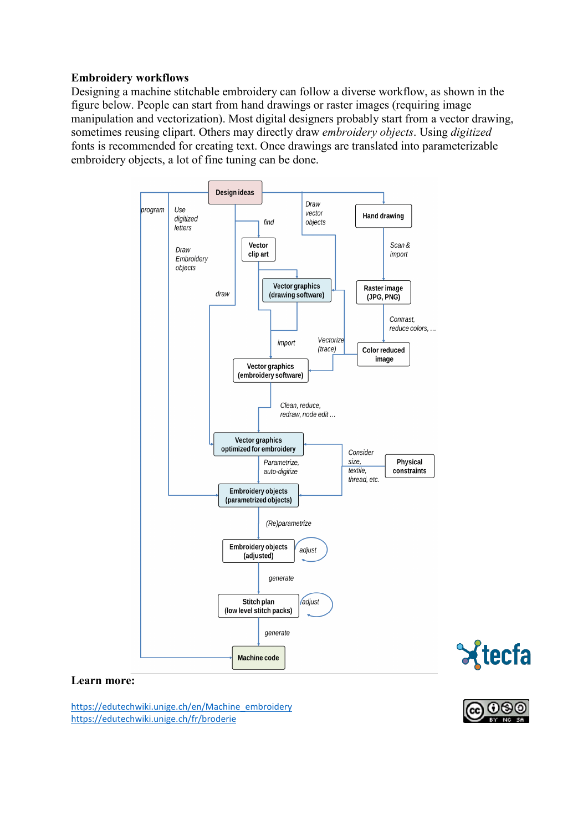## **Embroidery workflows**

Designing a machine stitchable embroidery can follow a diverse workflow, as shown in the figure below. People can start from hand drawings or raster images (requiring image manipulation and vectorization). Most digital designers probably start from a vector drawing, sometimes reusing clipart. Others may directly draw *embroidery objects*. Using *digitized* fonts is recommended for creating text. Once drawings are translated into parameterizable embroidery objects, a lot of fine tuning can be done.



#### **Learn more:**

[https://edutechwiki.unige.ch/en/Machine\\_embroidery](https://edutechwiki.unige.ch/en/Machine_embroidery) <https://edutechwiki.unige.ch/fr/broderie>



Xtecfa